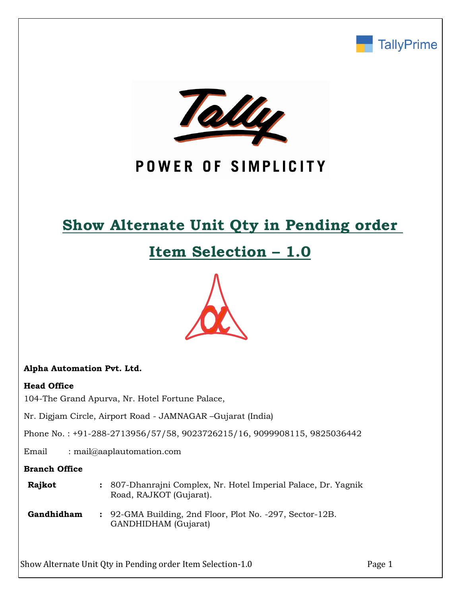



# POWER OF SIMPLICITY

# **Show Alternate Unit Qty in Pending order**

# **Item Selection – 1.0**



### **Alpha Automation Pvt. Ltd.**

### **Head Office**

104-The Grand Apurva, Nr. Hotel Fortune Palace,

Nr. Digjam Circle, Airport Road - JAMNAGAR –Gujarat (India)

Phone No. : +91-288-2713956/57/58, 9023726215/16, 9099908115, 9825036442

Email : mail@aaplautomation.com

### **Branch Office**

| <b>Rajkot</b> | : 807-Dhanrajni Complex, Nr. Hotel Imperial Palace, Dr. Yagnik |  |
|---------------|----------------------------------------------------------------|--|
|               | Road, RAJKOT (Gujarat).                                        |  |

**Gandhidham :** 92-GMA Building, 2nd Floor, Plot No. -297, Sector-12B. GANDHIDHAM (Gujarat)

Show Alternate Unit Qty in Pending order Item Selection-1.0 Page 1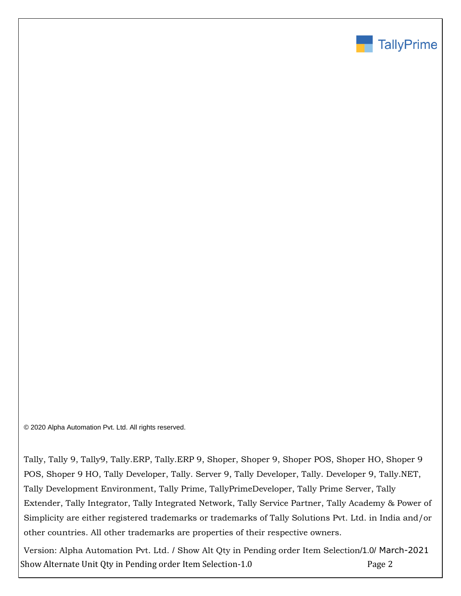

© 2020 Alpha Automation Pvt. Ltd. All rights reserved.

Tally, Tally 9, Tally9, Tally.ERP, Tally.ERP 9, Shoper, Shoper 9, Shoper POS, Shoper HO, Shoper 9 POS, Shoper 9 HO, Tally Developer, Tally. Server 9, Tally Developer, Tally. Developer 9, Tally.NET, Tally Development Environment, Tally Prime, TallyPrimeDeveloper, Tally Prime Server, Tally Extender, Tally Integrator, Tally Integrated Network, Tally Service Partner, Tally Academy & Power of Simplicity are either registered trademarks or trademarks of Tally Solutions Pvt. Ltd. in India and/or other countries. All other trademarks are properties of their respective owners.

Show Alternate Unit Qty in Pending order Item Selection-1.0 Page 2 Version: Alpha Automation Pvt. Ltd. / Show Alt Qty in Pending order Item Selection/1.0/ March-2021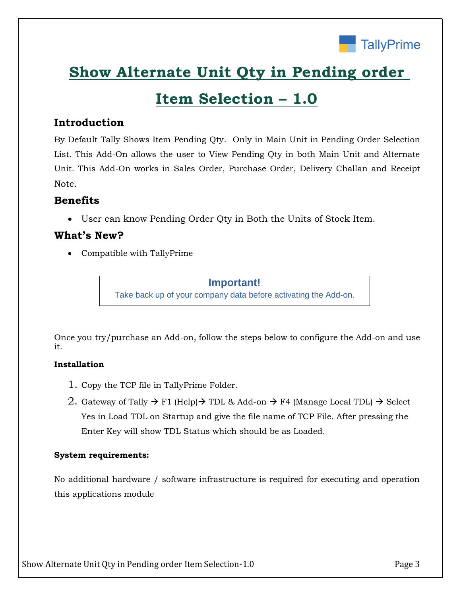

# **Show Alternate Unit Qty in Pending order**

# **Item Selection – 1.0**

## **Introduction**

By Default Tally Shows Item Pending Qty. Only in Main Unit in Pending Order Selection List. This Add-On allows the user to View Pending Qty in both Main Unit and Alternate Unit. This Add-On works in Sales Order, Purchase Order, Delivery Challan and Receipt Note.

## **Benefits**

• User can know Pending Order Qty in Both the Units of Stock Item.

## **What's New?**

• Compatible with TallyPrime

### **Important!**

Take back up of your company data before activating the Add-on.

Once you try/purchase an Add-on, follow the steps below to configure the Add-on and use it.

## **Installation**

- 1. Copy the TCP file in TallyPrime Folder.
- 2. Gateway of Tally  $\rightarrow$  F1 (Help) $\rightarrow$  TDL & Add-on  $\rightarrow$  F4 (Manage Local TDL)  $\rightarrow$  Select Yes in Load TDL on Startup and give the file name of TCP File. After pressing the Enter Key will show TDL Status which should be as Loaded.

### **System requirements:**

No additional hardware / software infrastructure is required for executing and operation this applications module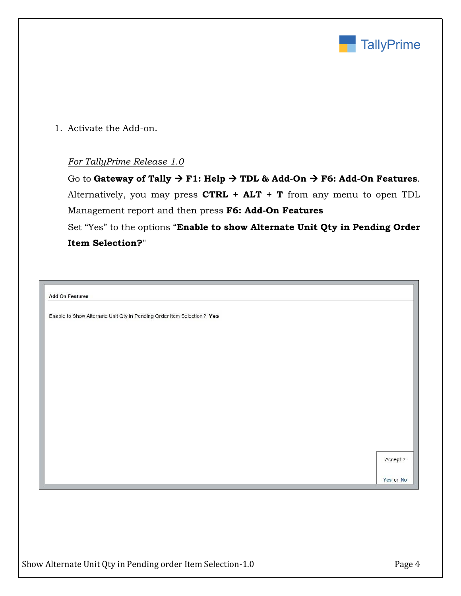

1. Activate the Add-on.

### *For TallyPrime Release 1.0*

Go to **Gateway of Tally** → **F1: Help** → **TDL & Add-On** → **F6: Add-On Features**. Alternatively, you may press **CTRL + ALT + T** from any menu to open TDL Management report and then press **F6: Add-On Features**

Set "Yes" to the options "**Enable to show Alternate Unit Qty in Pending Order Item Selection?**"

| <b>Add-On Features</b>                                                 |           |
|------------------------------------------------------------------------|-----------|
| Enable to Show Alternate Unit Qty in Pending Order Item Selection? Yes |           |
|                                                                        |           |
|                                                                        |           |
|                                                                        |           |
|                                                                        |           |
|                                                                        |           |
|                                                                        |           |
|                                                                        |           |
|                                                                        |           |
|                                                                        |           |
|                                                                        | Accept ?  |
|                                                                        |           |
|                                                                        | Yes or No |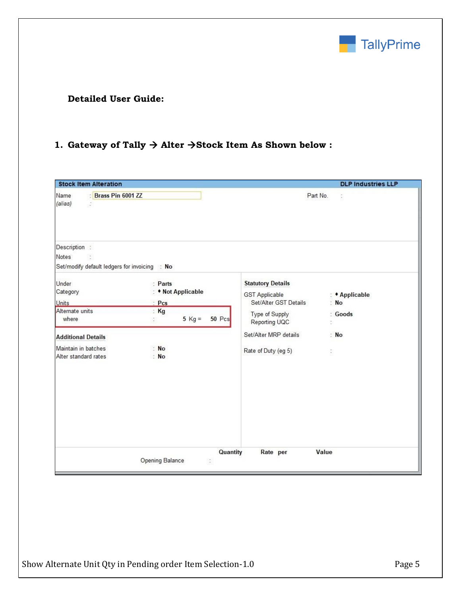

## **Detailed User Guide:**

## **1. Gateway of Tally** → **Alter** →**Stock Item As Shown below :**

| <b>Stock Item Alteration</b>                                                                                                              |                                                                                                        |                                                                                                                                                               | <b>DLP Industries LLP</b>                                    |
|-------------------------------------------------------------------------------------------------------------------------------------------|--------------------------------------------------------------------------------------------------------|---------------------------------------------------------------------------------------------------------------------------------------------------------------|--------------------------------------------------------------|
| Brass Pin 6001 ZZ<br>Name<br>(alias)<br>$\frac{1}{2}$                                                                                     |                                                                                                        |                                                                                                                                                               | Part No.<br>ă.                                               |
| Description :<br>Notes<br>S.<br>Set/modify default ledgers for invoicing : No                                                             |                                                                                                        |                                                                                                                                                               |                                                              |
| Under<br>Category<br><b>Units</b><br>Alternate units<br>where<br><b>Additional Details</b><br>Maintain in batches<br>Alter standard rates | : Parts<br>• Not Applicable<br>Pcs<br>Kg<br>$5$ Kg =<br>50 Pcs<br>$\ddot{\phantom{a}}$<br>: No<br>: No | <b>Statutory Details</b><br><b>GST Applicable</b><br>Set/Alter GST Details<br>Type of Supply<br>Reporting UQC<br>Set/Alter MRP details<br>Rate of Duty (eg 5) | : <i>*</i> Applicable<br>: No<br>: Goods<br>Ċ.<br>: No<br>ŝ, |
|                                                                                                                                           | Opening Balance<br>$\hat{\boldsymbol{\cdot}}$                                                          | Quantity<br>Rate per                                                                                                                                          | Value                                                        |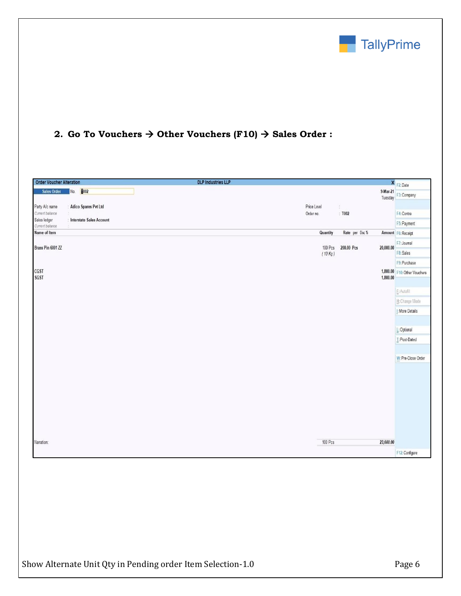

## **2. Go To Vouchers** → **Other Vouchers (F10)** → **Sales Order :**

| <b>Order Voucher Alteration</b> |                            | <b>DLP Industries LLP</b>                       | × F2:Date                    |
|---------------------------------|----------------------------|-------------------------------------------------|------------------------------|
| Sales Order                     | <b>D</b> 002<br>No.        | 9-Mar-21<br>Tuesday                             | F3: Company                  |
| Party A/c name                  | : Adico Spares Pvt Ltd     | Price Level<br>$\frac{1}{2}$                    |                              |
| Current balance                 |                            | Order no.<br>: T002                             | F4: Contra                   |
| Sales ledger<br>Current balance | : Interstate Sales Account |                                                 | F5: Payment                  |
| Name of Item                    |                            | Quantity<br>Rate per Disc %                     | Amount F6: Receipt           |
|                                 |                            |                                                 | F7: Journal                  |
| Brass Pin 6001 ZZ               |                            | 100 Pcs<br>200.00 Pcs<br>20,000.00<br>$(10$ Kg) | F8: Sales                    |
|                                 |                            |                                                 | F9: Purchase                 |
| CGST<br><b>SGST</b>             |                            | 1,800.00                                        | 1,800.00 F10: Other Vouchers |
|                                 |                            |                                                 | E: Autofill                  |
|                                 |                            |                                                 | H: Change Mode               |
|                                 |                            |                                                 | I: More Details              |
|                                 |                            |                                                 |                              |
|                                 |                            |                                                 | L: Optional<br>T: Post-Dated |
|                                 |                            |                                                 |                              |
|                                 |                            |                                                 | W: Pre-Close Order           |
|                                 |                            |                                                 |                              |
|                                 |                            |                                                 |                              |
|                                 |                            |                                                 |                              |
|                                 |                            |                                                 |                              |
|                                 |                            |                                                 |                              |
|                                 |                            |                                                 |                              |
|                                 |                            |                                                 |                              |
| Narration:                      |                            | 100 Pcs<br>23,600.00                            |                              |
|                                 |                            |                                                 | F12: Configure               |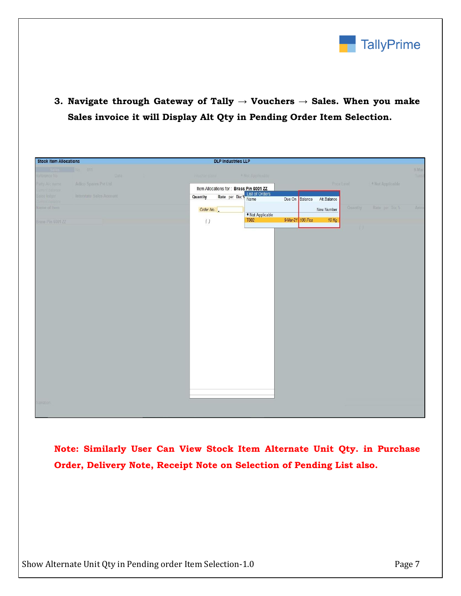

**3. Navigate through Gateway of Tally → Vouchers → Sales. When you make Sales invoice it will Display Alt Qty in Pending Order Item Selection.**

| No 011<br>9-Mar<br><b>Date</b><br>Tues<br>Reference No<br>* Not Applicable<br><b>Voudle Blue</b><br>* Not Applicable<br>Adico Spares Pvt Ltd.<br>Price Level<br>Party A/o name<br>Item Allocations for: Brass Pin 6001 ZZ<br>Rate per Disc & List of Orders<br>Interstate Sales Account<br>ales ledger<br>Quantity<br>Due On Balance Alt. Balance<br>wrant halance<br>Quantity<br>Rate per Dec %<br>Amot<br>Order No.:<br>New Number<br>◆ Not Applicable<br>9-Mar-21 100 Pcs<br>10 Kg<br>T002<br>( )<br><b>Brass Pin 6001 ZZ</b><br>$\left\lfloor \cdot \right\rfloor$ | <b>Stock Item Allocations</b> |  | <b>DLP Industries LLP</b> |  |  |  |  |
|------------------------------------------------------------------------------------------------------------------------------------------------------------------------------------------------------------------------------------------------------------------------------------------------------------------------------------------------------------------------------------------------------------------------------------------------------------------------------------------------------------------------------------------------------------------------|-------------------------------|--|---------------------------|--|--|--|--|
|                                                                                                                                                                                                                                                                                                                                                                                                                                                                                                                                                                        |                               |  |                           |  |  |  |  |
|                                                                                                                                                                                                                                                                                                                                                                                                                                                                                                                                                                        |                               |  |                           |  |  |  |  |
|                                                                                                                                                                                                                                                                                                                                                                                                                                                                                                                                                                        |                               |  |                           |  |  |  |  |
|                                                                                                                                                                                                                                                                                                                                                                                                                                                                                                                                                                        | Name of Item                  |  |                           |  |  |  |  |
|                                                                                                                                                                                                                                                                                                                                                                                                                                                                                                                                                                        |                               |  |                           |  |  |  |  |
|                                                                                                                                                                                                                                                                                                                                                                                                                                                                                                                                                                        |                               |  |                           |  |  |  |  |
|                                                                                                                                                                                                                                                                                                                                                                                                                                                                                                                                                                        |                               |  |                           |  |  |  |  |
|                                                                                                                                                                                                                                                                                                                                                                                                                                                                                                                                                                        |                               |  |                           |  |  |  |  |
|                                                                                                                                                                                                                                                                                                                                                                                                                                                                                                                                                                        |                               |  |                           |  |  |  |  |
|                                                                                                                                                                                                                                                                                                                                                                                                                                                                                                                                                                        |                               |  |                           |  |  |  |  |
|                                                                                                                                                                                                                                                                                                                                                                                                                                                                                                                                                                        |                               |  |                           |  |  |  |  |
|                                                                                                                                                                                                                                                                                                                                                                                                                                                                                                                                                                        |                               |  |                           |  |  |  |  |
|                                                                                                                                                                                                                                                                                                                                                                                                                                                                                                                                                                        |                               |  |                           |  |  |  |  |
|                                                                                                                                                                                                                                                                                                                                                                                                                                                                                                                                                                        |                               |  |                           |  |  |  |  |
|                                                                                                                                                                                                                                                                                                                                                                                                                                                                                                                                                                        |                               |  |                           |  |  |  |  |
|                                                                                                                                                                                                                                                                                                                                                                                                                                                                                                                                                                        |                               |  |                           |  |  |  |  |
|                                                                                                                                                                                                                                                                                                                                                                                                                                                                                                                                                                        |                               |  |                           |  |  |  |  |
|                                                                                                                                                                                                                                                                                                                                                                                                                                                                                                                                                                        |                               |  |                           |  |  |  |  |
|                                                                                                                                                                                                                                                                                                                                                                                                                                                                                                                                                                        |                               |  |                           |  |  |  |  |
|                                                                                                                                                                                                                                                                                                                                                                                                                                                                                                                                                                        |                               |  |                           |  |  |  |  |
|                                                                                                                                                                                                                                                                                                                                                                                                                                                                                                                                                                        |                               |  |                           |  |  |  |  |
|                                                                                                                                                                                                                                                                                                                                                                                                                                                                                                                                                                        |                               |  |                           |  |  |  |  |
|                                                                                                                                                                                                                                                                                                                                                                                                                                                                                                                                                                        |                               |  |                           |  |  |  |  |
|                                                                                                                                                                                                                                                                                                                                                                                                                                                                                                                                                                        |                               |  |                           |  |  |  |  |
|                                                                                                                                                                                                                                                                                                                                                                                                                                                                                                                                                                        | Narration                     |  |                           |  |  |  |  |

**Note: Similarly User Can View Stock Item Alternate Unit Qty. in Purchase Order, Delivery Note, Receipt Note on Selection of Pending List also.**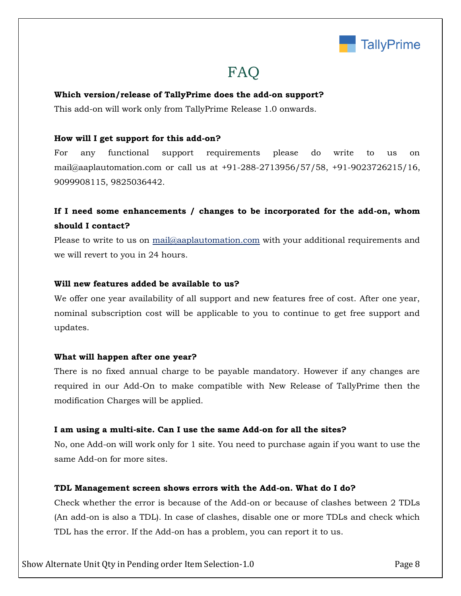

# FAQ

### **Which version/release of TallyPrime does the add-on support?**

This add-on will work only from TallyPrime Release 1.0 onwards.

#### **How will I get support for this add-on?**

For any functional support requirements please do write to us on mail@aaplautomation.com or call us at +91-288-2713956/57/58, +91-9023726215/16, 9099908115, 9825036442.

## **If I need some enhancements / changes to be incorporated for the add-on, whom should I contact?**

Please to write to us on mail@aaplautomation.com with your additional requirements and we will revert to you in 24 hours.

#### **Will new features added be available to us?**

We offer one year availability of all support and new features free of cost. After one year, nominal subscription cost will be applicable to you to continue to get free support and updates.

#### **What will happen after one year?**

There is no fixed annual charge to be payable mandatory. However if any changes are required in our Add-On to make compatible with New Release of TallyPrime then the modification Charges will be applied.

#### **I am using a multi-site. Can I use the same Add-on for all the sites?**

No, one Add-on will work only for 1 site. You need to purchase again if you want to use the same Add-on for more sites.

### **TDL Management screen shows errors with the Add-on. What do I do?**

Check whether the error is because of the Add-on or because of clashes between 2 TDLs (An add-on is also a TDL). In case of clashes, disable one or more TDLs and check which TDL has the error. If the Add-on has a problem, you can report it to us.